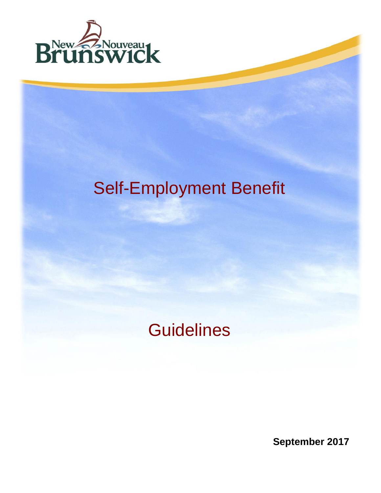

# Self-Employment Benefit

## **Guidelines**

**September 2017**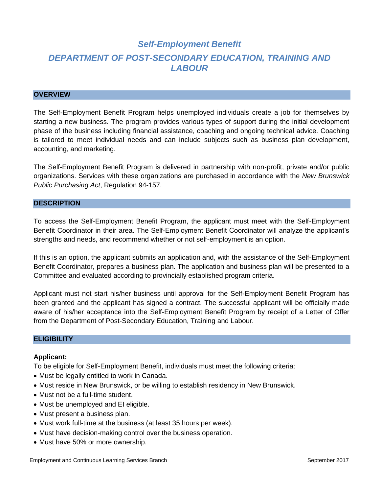### *Self-Employment Benefit DEPARTMENT OF POST-SECONDARY EDUCATION, TRAINING AND LABOUR*

#### **OVERVIEW**

The Self-Employment Benefit Program helps unemployed individuals create a job for themselves by starting a new business. The program provides various types of support during the initial development phase of the business including financial assistance, coaching and ongoing technical advice. Coaching is tailored to meet individual needs and can include subjects such as business plan development, accounting, and marketing.

The Self-Employment Benefit Program is delivered in partnership with non-profit, private and/or public organizations. Services with these organizations are purchased in accordance with the *New Brunswick Public Purchasing Act*, Regulation 94-157.

#### **DESCRIPTION**

To access the Self-Employment Benefit Program, the applicant must meet with the Self-Employment Benefit Coordinator in their area. The Self-Employment Benefit Coordinator will analyze the applicant's strengths and needs, and recommend whether or not self-employment is an option.

If this is an option, the applicant submits an application and, with the assistance of the Self-Employment Benefit Coordinator, prepares a business plan. The application and business plan will be presented to a Committee and evaluated according to provincially established program criteria.

Applicant must not start his/her business until approval for the Self-Employment Benefit Program has been granted and the applicant has signed a contract. The successful applicant will be officially made aware of his/her acceptance into the Self-Employment Benefit Program by receipt of a Letter of Offer from the Department of Post-Secondary Education, Training and Labour.

#### **ELIGIBILITY**

#### **Applicant:**

To be eligible for Self-Employment Benefit, individuals must meet the following criteria:

- Must be legally entitled to work in Canada.
- Must reside in New Brunswick, or be willing to establish residency in New Brunswick.
- Must not be a full-time student.
- Must be unemployed and EI eligible.
- Must present a business plan.
- Must work full-time at the business (at least 35 hours per week).
- Must have decision-making control over the business operation.
- Must have 50% or more ownership.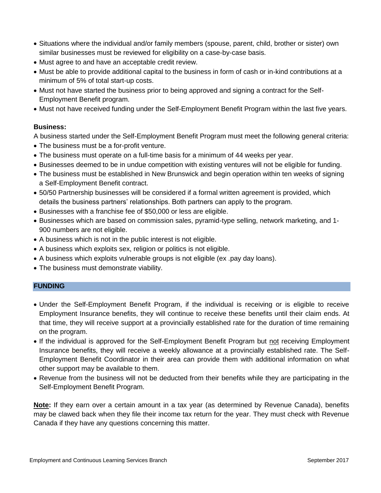- Situations where the individual and/or family members (spouse, parent, child, brother or sister) own similar businesses must be reviewed for eligibility on a case-by-case basis.
- Must agree to and have an acceptable credit review.
- Must be able to provide additional capital to the business in form of cash or in-kind contributions at a minimum of 5% of total start-up costs.
- Must not have started the business prior to being approved and signing a contract for the Self-Employment Benefit program.
- Must not have received funding under the Self-Employment Benefit Program within the last five years.

#### **Business:**

A business started under the Self-Employment Benefit Program must meet the following general criteria:

- The business must be a for-profit venture.
- The business must operate on a full-time basis for a minimum of 44 weeks per year.
- Businesses deemed to be in undue competition with existing ventures will not be eligible for funding.
- The business must be established in New Brunswick and begin operation within ten weeks of signing a Self-Employment Benefit contract.
- 50/50 Partnership businesses will be considered if a formal written agreement is provided, which details the business partners' relationships. Both partners can apply to the program.
- Businesses with a franchise fee of \$50,000 or less are eligible.
- Businesses which are based on commission sales, pyramid-type selling, network marketing, and 1-900 numbers are not eligible.
- A business which is not in the public interest is not eligible.
- A business which exploits sex, religion or politics is not eligible.
- A business which exploits vulnerable groups is not eligible (ex .pay day loans).
- The business must demonstrate viability.

#### **FUNDING**

- Under the Self-Employment Benefit Program, if the individual is receiving or is eligible to receive Employment Insurance benefits, they will continue to receive these benefits until their claim ends. At that time, they will receive support at a provincially established rate for the duration of time remaining on the program.
- If the individual is approved for the Self-Employment Benefit Program but not receiving Employment Insurance benefits, they will receive a weekly allowance at a provincially established rate. The Self-Employment Benefit Coordinator in their area can provide them with additional information on what other support may be available to them.
- Revenue from the business will not be deducted from their benefits while they are participating in the Self-Employment Benefit Program.

**Note:** If they earn over a certain amount in a tax year (as determined by Revenue Canada), benefits may be clawed back when they file their income tax return for the year. They must check with Revenue Canada if they have any questions concerning this matter.